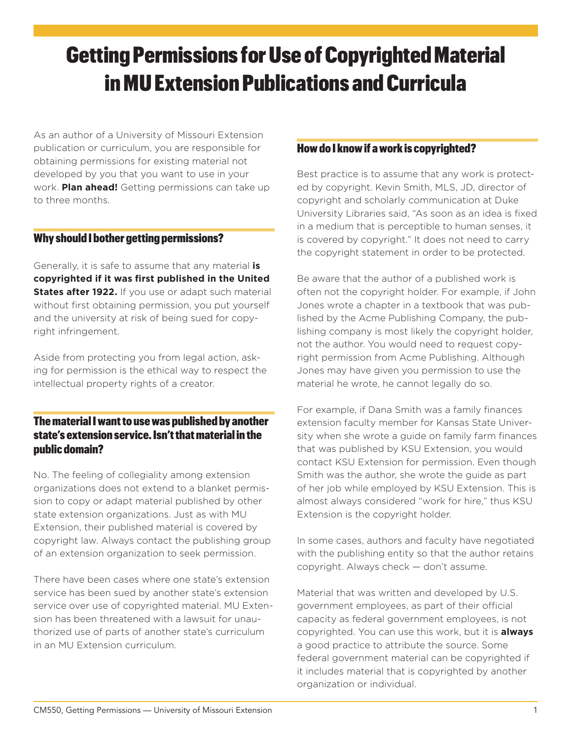# Getting Permissions for Use of Copyrighted Material in MU Extension Publications and Curricula

As an author of a University of Missouri Extension publication or curriculum, you are responsible for obtaining permissions for existing material not developed by you that you want to use in your work. **Plan ahead!** Getting permissions can take up to three months.

#### Why should I bother getting permissions?

Generally, it is safe to assume that any material **is copyrighted if it was first published in the United States after 1922.** If you use or adapt such material without first obtaining permission, you put yourself and the university at risk of being sued for copyright infringement.

Aside from protecting you from legal action, asking for permission is the ethical way to respect the intellectual property rights of a creator.

## The material I want to use was published by another state's extension service. Isn't that material in the public domain?

No. The feeling of collegiality among extension organizations does not extend to a blanket permission to copy or adapt material published by other state extension organizations. Just as with MU Extension, their published material is covered by copyright law. Always contact the publishing group of an extension organization to seek permission.

There have been cases where one state's extension service has been sued by another state's extension service over use of copyrighted material. MU Extension has been threatened with a lawsuit for unauthorized use of parts of another state's curriculum in an MU Extension curriculum.

#### How do I know if a work is copyrighted?

Best practice is to assume that any work is protected by copyright. Kevin Smith, MLS, JD, director of copyright and scholarly communication at Duke University Libraries said, "As soon as an idea is fixed in a medium that is perceptible to human senses, it is covered by copyright." It does not need to carry the copyright statement in order to be protected.

Be aware that the author of a published work is often not the copyright holder. For example, if John Jones wrote a chapter in a textbook that was published by the Acme Publishing Company, the publishing company is most likely the copyright holder, not the author. You would need to request copyright permission from Acme Publishing. Although Jones may have given you permission to use the material he wrote, he cannot legally do so.

For example, if Dana Smith was a family finances extension faculty member for Kansas State University when she wrote a guide on family farm finances that was published by KSU Extension, you would contact KSU Extension for permission. Even though Smith was the author, she wrote the guide as part of her job while employed by KSU Extension. This is almost always considered "work for hire," thus KSU Extension is the copyright holder.

In some cases, authors and faculty have negotiated with the publishing entity so that the author retains copyright. Always check — don't assume.

Material that was written and developed by U.S. government employees, as part of their official capacity as federal government employees, is not copyrighted. You can use this work, but it is **always** a good practice to attribute the source. Some federal government material can be copyrighted if it includes material that is copyrighted by another organization or individual.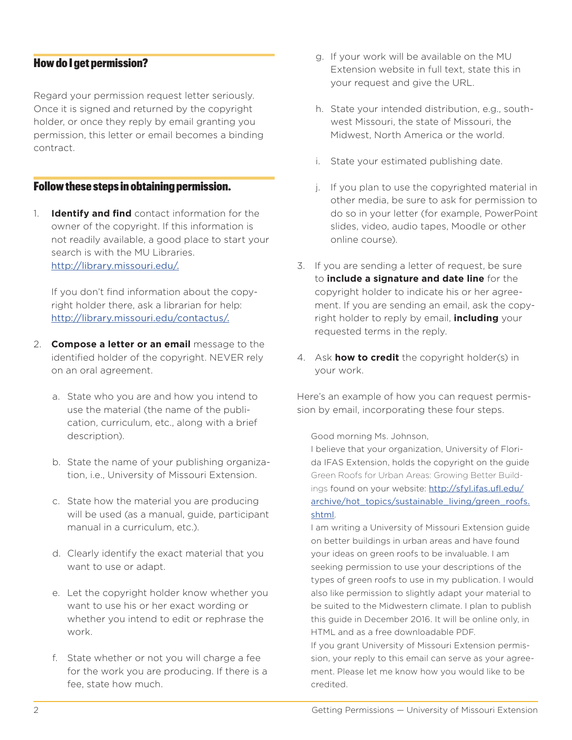#### How do I get permission?

Regard your permission request letter seriously. Once it is signed and returned by the copyright holder, or once they reply by email granting you permission, this letter or email becomes a binding contract.

#### Follow these steps in obtaining permission.

1. **Identify and find** contact information for the owner of the copyright. If this information is not readily available, a good place to start your search is with the [MU Libraries](http://eds.b.ebscohost.com/eds/search/advanced?vid=0&sid=84288755-69c5-4b77-b36f-eb30cf861ae1%40sessionmgr120). <http://library.missouri.edu/>.

If you don't find information about the copyright holder there, ask a librarian for help: [http://library.missouri.edu/contactus/.](http://library.missouri.edu/contactus/ )

- 2. **Compose a letter or an email** message to the identified holder of the copyright. NEVER rely on an oral agreement.
	- a. State who you are and how you intend to use the material (the name of the publication, curriculum, etc., along with a brief description).
	- b. State the name of your publishing organization, i.e., University of Missouri Extension.
	- c. State how the material you are producing will be used (as a manual, guide, participant manual in a curriculum, etc.).
	- d. Clearly identify the exact material that you want to use or adapt.
	- e. Let the copyright holder know whether you want to use his or her exact wording or whether you intend to edit or rephrase the work.
	- f. State whether or not you will charge a fee for the work you are producing. If there is a fee, state how much.
- g. If your work will be available on the MU Extension website in full text, state this in your request and give the URL.
- h. State your intended distribution, e.g., southwest Missouri, the state of Missouri, the Midwest, North America or the world.
- i. State your estimated publishing date.
- j. If you plan to use the copyrighted material in other media, be sure to ask for permission to do so in your letter (for example, PowerPoint slides, video, audio tapes, Moodle or other online course).
- 3. If you are sending a letter of request, be sure to **include a signature and date line** for the copyright holder to indicate his or her agreement. If you are sending an email, ask the copyright holder to reply by email, **including** your requested terms in the reply.
- 4. Ask **how to credit** the copyright holder(s) in your work.

Here's an example of how you can request permission by email, incorporating these four steps.

Good morning Ms. Johnson,

I believe that your organization, University of Florida IFAS Extension, holds the copyright on the guide Green Roofs for Urban Areas: Growing Better Buildings found on your website: [http://sfyl.ifas.ufl.edu/](http://sfyl.ifas.ufl.edu/archive/hot_topics/sustainable_living/green_roofs.shtml) [archive/hot\\_topics/sustainable\\_living/green\\_roofs.](http://sfyl.ifas.ufl.edu/archive/hot_topics/sustainable_living/green_roofs.shtml) [shtml](http://sfyl.ifas.ufl.edu/archive/hot_topics/sustainable_living/green_roofs.shtml).

I am writing a University of Missouri Extension guide on better buildings in urban areas and have found your ideas on green roofs to be invaluable. I am seeking permission to use your descriptions of the types of green roofs to use in my publication. I would also like permission to slightly adapt your material to be suited to the Midwestern climate. I plan to publish this guide in December 2016. It will be online only, in HTML and as a free downloadable PDF.

If you grant University of Missouri Extension permission, your reply to this email can serve as your agreement. Please let me know how you would like to be credited.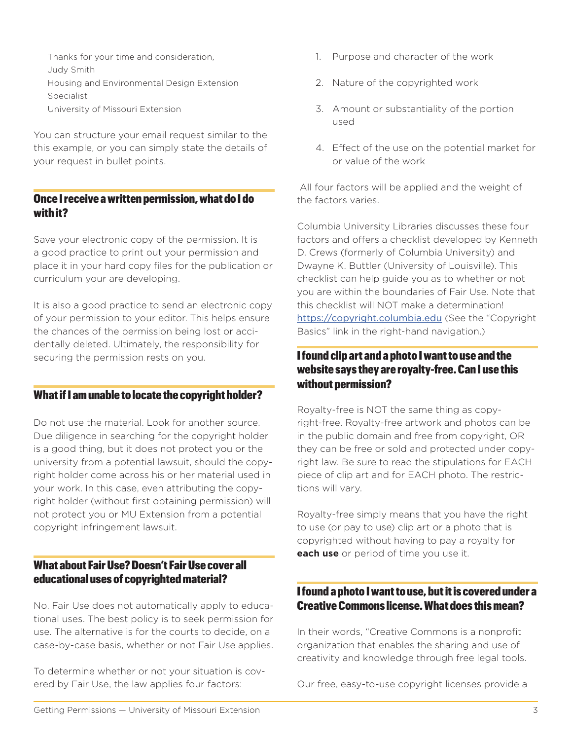- Thanks for your time and consideration,
- Judy Smith
- Housing and Environmental Design Extension
- Specialist
- University of Missouri Extension

You can structure your email request similar to the this example, or you can simply state the details of your request in bullet points.

### Once I receive a written permission, what do I do with it?

Save your electronic copy of the permission. It is a good practice to print out your permission and place it in your hard copy files for the publication or curriculum your are developing.

It is also a good practice to send an electronic copy of your permission to your editor. This helps ensure the chances of the permission being lost or accidentally deleted. Ultimately, the responsibility for securing the permission rests on you.

#### What if I am unable to locate the copyright holder?

Do not use the material. Look for another source. Due diligence in searching for the copyright holder is a good thing, but it does not protect you or the university from a potential lawsuit, should the copyright holder come across his or her material used in your work. In this case, even attributing the copyright holder (without first obtaining permission) will not protect you or MU Extension from a potential copyright infringement lawsuit.

## What about Fair Use? Doesn't Fair Use cover all educational uses of copyrighted material?

No. Fair Use does not automatically apply to educational uses. The best policy is to seek permission for use. The alternative is for the courts to decide, on a case-by-case basis, whether or not Fair Use applies.

To determine whether or not your situation is covered by Fair Use, the law applies four factors:

- 1. Purpose and character of the work
- 2. Nature of the copyrighted work
- 3. Amount or substantiality of the portion used
- 4. Effect of the use on the potential market for or value of the work

 All four factors will be applied and the weight of the factors varies.

Columbia University Libraries discusses these four factors and offers a checklist developed by Kenneth D. Crews (formerly of Columbia University) and Dwayne K. Buttler (University of Louisville). This checklist can help guide you as to whether or not you are within the boundaries of Fair Use. Note that this checklist will NOT make a determination! <https://copyright.columbia.edu> (See the "Copyright Basics" link in the right-hand navigation.)

# I found clip art and a photo I want to use and the website says they are royalty-free. Can I use this without permission?

Royalty-free is NOT the same thing as copyright-free. Royalty-free artwork and photos can be in the public domain and free from copyright, OR they can be free or sold and protected under copyright law. Be sure to read the stipulations for EACH piece of clip art and for EACH photo. The restrictions will vary.

Royalty-free simply means that you have the right to use (or pay to use) clip art or a photo that is copyrighted without having to pay a royalty for **each use** or period of time you use it.

# I found a photo I want to use, but it is covered under a Creative Commons license. What does this mean?

In their words, "Creative Commons is a nonprofit organization that enables the sharing and use of creativity and knowledge through free legal tools.

Our free, easy-to-use [copyright licenses](http://creativecommons.org/licenses) provide a